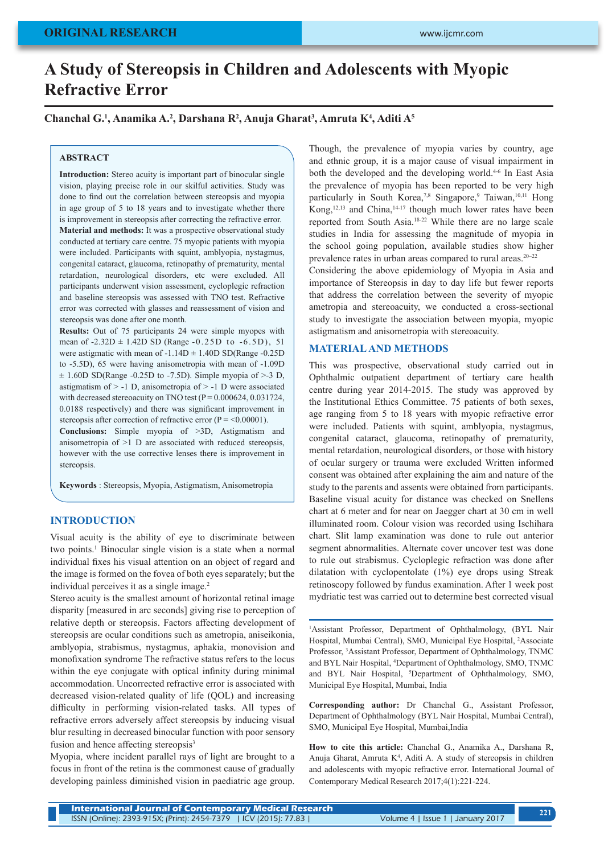# **A Study of Stereopsis in Children and Adolescents with Myopic Refractive Error**

## **Chanchal G.1 , Anamika A.2 , Darshana R2 , Anuja Gharat3 , Amruta K4 , Aditi A5**

#### **ABSTRACT**

**Introduction:** Stereo acuity is important part of binocular single vision, playing precise role in our skilful activities. Study was done to find out the correlation between stereopsis and myopia in age group of 5 to 18 years and to investigate whether there is improvement in stereopsis after correcting the refractive error. **Material and methods:** It was a prospective observational study conducted at tertiary care centre. 75 myopic patients with myopia were included. Participants with squint, amblyopia, nystagmus, congenital cataract, glaucoma, retinopathy of prematurity, mental retardation, neurological disorders, etc were excluded. All participants underwent vision assessment, cycloplegic refraction and baseline stereopsis was assessed with TNO test. Refractive error was corrected with glasses and reassessment of vision and stereopsis was done after one month.

**Results:** Out of 75 participants 24 were simple myopes with mean of  $-2.32D \pm 1.42D$  SD (Range  $-0.25D$  to  $-6.5D$ ), 51 were astigmatic with mean of  $-1.14D \pm 1.40D$  SD(Range  $-0.25D$ to -5.5D), 65 were having anisometropia with mean of -1.09D  $\pm$  1.60D SD(Range -0.25D to -7.5D). Simple myopia of >-3 D, astigmatism of > -1 D, anisometropia of > -1 D were associated with decreased stereoacuity on TNO test  $(P = 0.000624, 0.031724,$ 0.0188 respectively) and there was significant improvement in stereopsis after correction of refractive error  $(P = 0.00001)$ .

**Conclusions:** Simple myopia of >3D, Astigmatism and anisometropia of >1 D are associated with reduced stereopsis, however with the use corrective lenses there is improvement in stereopsis.

**Keywords** : Stereopsis, Myopia, Astigmatism, Anisometropia

#### **INTRODUCTION**

Visual acuity is the ability of eye to discriminate between two points.<sup>1</sup> Binocular single vision is a state when a normal individual fixes his visual attention on an object of regard and the image is formed on the fovea of both eyes separately; but the individual perceives it as a single image.<sup>2</sup>

Stereo acuity is the smallest amount of horizontal retinal image disparity [measured in arc seconds] giving rise to perception of relative depth or stereopsis. Factors affecting development of stereopsis are ocular conditions such as ametropia, aniseikonia, amblyopia, strabismus, nystagmus, aphakia, monovision and monofixation syndrome The refractive status refers to the locus within the eye conjugate with optical infinity during minimal accommodation. Uncorrected refractive error is associated with decreased vision-related quality of life (QOL) and increasing difficulty in performing vision-related tasks. All types of refractive errors adversely affect stereopsis by inducing visual blur resulting in decreased binocular function with poor sensory fusion and hence affecting stereopsis<sup>3</sup>

Myopia, where incident parallel rays of light are brought to a focus in front of the retina is the commonest cause of gradually developing painless diminished vision in paediatric age group.

Though, the prevalence of myopia varies by country, age and ethnic group, it is a major cause of visual impairment in both the developed and the developing world.<sup>4-6</sup> In East Asia the prevalence of myopia has been reported to be very high particularly in South Korea,<sup>7,8</sup> Singapore,<sup>9</sup> Taiwan,<sup>10,11</sup> Hong Kong, $12,13$  and China, $14-17$  though much lower rates have been reported from South Asia.18-22 While there are no large scale studies in India for assessing the magnitude of myopia in the school going population, available studies show higher prevalence rates in urban areas compared to rural areas. $20-22$ Considering the above epidemiology of Myopia in Asia and

importance of Stereopsis in day to day life but fewer reports that address the correlation between the severity of myopic ametropia and stereoacuity, we conducted a cross-sectional study to investigate the association between myopia, myopic astigmatism and anisometropia with stereoacuity.

#### **MATERIAL AND METHODS**

This was prospective, observational study carried out in Ophthalmic outpatient department of tertiary care health centre during year 2014-2015. The study was approved by the Institutional Ethics Committee. 75 patients of both sexes, age ranging from 5 to 18 years with myopic refractive error were included. Patients with squint, amblyopia, nystagmus, congenital cataract, glaucoma, retinopathy of prematurity, mental retardation, neurological disorders, or those with history of ocular surgery or trauma were excluded Written informed consent was obtained after explaining the aim and nature of the study to the parents and assents were obtained from participants. Baseline visual acuity for distance was checked on Snellens chart at 6 meter and for near on Jaegger chart at 30 cm in well illuminated room. Colour vision was recorded using Ischihara chart. Slit lamp examination was done to rule out anterior segment abnormalities. Alternate cover uncover test was done to rule out strabismus. Cycloplegic refraction was done after dilatation with cyclopentolate (1%) eye drops using Streak retinoscopy followed by fundus examination. After 1 week post mydriatic test was carried out to determine best corrected visual

1 Assistant Professor, Department of Ophthalmology, (BYL Nair Hospital, Mumbai Central), SMO, Municipal Eye Hospital, 2 Associate Professor, <sup>3</sup> Assistant Professor, Department of Ophthalmology, TNMC and BYL Nair Hospital, 4 Department of Ophthalmology, SMO, TNMC and BYL Nair Hospital, <sup>5</sup>Department of Ophthalmology, SMO, Municipal Eye Hospital, Mumbai, India

**Corresponding author:** Dr Chanchal G., Assistant Professor, Department of Ophthalmology (BYL Nair Hospital, Mumbai Central), SMO, Municipal Eye Hospital, Mumbai,India

**How to cite this article:** Chanchal G., Anamika A., Darshana R, Anuja Gharat, Amruta K<sup>4</sup>, Aditi A. A study of stereopsis in children and adolescents with myopic refractive error. International Journal of Contemporary Medical Research 2017;4(1):221-224.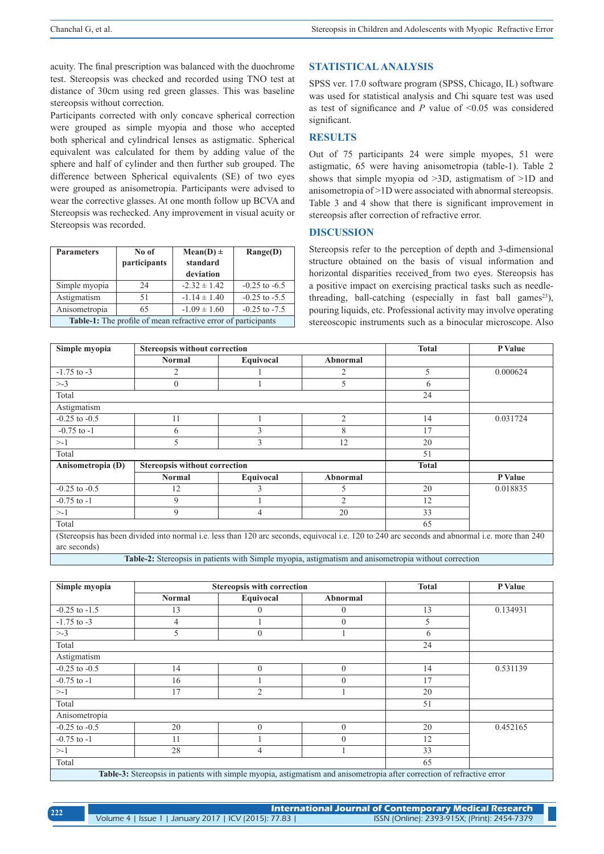acuity. The final prescription was balanced with the duochrome test. Stereopsis was checked and recorded using TNO test at distance of 30cm using red green glasses. This was baseline stereopsis without correction.

Participants corrected with only concave spherical correction were grouped as simple myopia and those who accepted both spherical and cylindrical lenses as astigmatic. Spherical equivalent was calculated for them by adding value of the sphere and half of cylinder and then further sub grouped. The difference between Spherical equivalents (SE) of two eyes were grouped as anisometropia. Participants were advised to wear the corrective glasses. At one month follow up BCVA and Stereopsis was rechecked. Any improvement in visual acuity or Stereopsis was recorded.

| <b>Parameters</b>                                                    | No of<br>participants | $Mean(D) \pm$<br>standard<br>deviation | Range(D)          |  |
|----------------------------------------------------------------------|-----------------------|----------------------------------------|-------------------|--|
| Simple myopia                                                        | 24                    | $-2.32 \pm 1.42$                       | $-0.25$ to $-6.5$ |  |
| Astigmatism                                                          | 51                    | $-1.14 \pm 1.40$                       | $-0.25$ to $-5.5$ |  |
| Anisometropia                                                        | 65                    | $-1.09 \pm 1.60$                       | $-0.25$ to $-7.5$ |  |
| <b>Table-1:</b> The profile of mean refractive error of participants |                       |                                        |                   |  |

# **STATISTICAL ANALYSIS**

SPSS ver. 17.0 software program (SPSS, Chicago, IL) software was used for statistical analysis and Chi square test was used as test of significance and *P* value of <0.05 was considered significant.

# **RESULTS**

Out of 75 participants 24 were simple myopes, 51 were astigmatic, 65 were having anisometropia (table-1). Table 2 shows that simple myopia od >3D, astigmatism of >1D and anisometropia of >1D were associated with abnormal stereopsis. Table 3 and 4 show that there is significant improvement in stereopsis after correction of refractive error.

#### **DISCUSSION**

Stereopsis refer to the perception of depth and 3-dimensional structure obtained on the basis of visual information and horizontal disparities received from two eyes. Stereopsis has a positive impact on exercising practical tasks such as needlethreading, ball-catching (especially in fast ball games<sup>23</sup>), pouring liquids, etc. Professional activity may involve operating stereoscopic instruments such as a binocular microscope. Also

| Simple myopia                                                                                                                                                  | <b>Stereopsis without correction</b> |           |                | <b>Total</b> | P Value  |
|----------------------------------------------------------------------------------------------------------------------------------------------------------------|--------------------------------------|-----------|----------------|--------------|----------|
|                                                                                                                                                                | <b>Normal</b>                        | Equivocal | Abnormal       |              |          |
| $-1.75$ to $-3$                                                                                                                                                | $\overline{2}$                       |           |                | 5            | 0.000624 |
| $> -3$                                                                                                                                                         | $\mathbf{0}$                         |           | 5              | 6            |          |
| Total                                                                                                                                                          |                                      |           |                | 24           |          |
| Astigmatism                                                                                                                                                    |                                      |           |                |              |          |
| $-0.25$ to $-0.5$                                                                                                                                              | 11                                   |           | $\overline{2}$ | 14           | 0.031724 |
| $-0.75$ to $-1$                                                                                                                                                | 6                                    | J.        | 8              | 17           |          |
| $> -1$                                                                                                                                                         | 5                                    | 3         | 12             | 20           |          |
| Total                                                                                                                                                          |                                      |           |                | 51           |          |
| <b>Stereopsis without correction</b><br>Anisometropia (D)                                                                                                      |                                      |           | <b>Total</b>   |              |          |
|                                                                                                                                                                | <b>Normal</b>                        | Equivocal | Abnormal       |              | P Value  |
| $-0.25$ to $-0.5$                                                                                                                                              | 12                                   | A         | 5              | 20           | 0.018835 |
| $-0.75$ to $-1$                                                                                                                                                | 9                                    |           | $\mathfrak{D}$ | 12           |          |
| >1                                                                                                                                                             | 9                                    | 4         | 20             | 33           |          |
| Total                                                                                                                                                          |                                      |           |                | 65           |          |
| (Stereopsis has been divided into normal i.e. less than 120 arc seconds, equivocal i.e. 120 to 240 arc seconds and abnormal i.e. more than 240<br>arc seconds) |                                      |           |                |              |          |

**Table-2:** Stereopsis in patients with Simple myopia, astigmatism and anisometropia without correction

| Simple myopia     | <b>Stereopsis with correction</b> |                |                                                                                                                                                                                                                                                    | <b>Total</b> | P Value  |
|-------------------|-----------------------------------|----------------|----------------------------------------------------------------------------------------------------------------------------------------------------------------------------------------------------------------------------------------------------|--------------|----------|
|                   | <b>Normal</b>                     | Equivocal      | Abnormal                                                                                                                                                                                                                                           |              |          |
| $-0.25$ to $-1.5$ | 13                                | $\theta$       | $\Omega$                                                                                                                                                                                                                                           | 13           | 0.134931 |
| $-1.75$ to $-3$   | 4                                 |                | $\mathbf{0}$                                                                                                                                                                                                                                       | 5            |          |
| $> -3$            | 5                                 | $\Omega$       |                                                                                                                                                                                                                                                    | 6            |          |
| Total             |                                   |                |                                                                                                                                                                                                                                                    | 24           |          |
| Astigmatism       |                                   |                |                                                                                                                                                                                                                                                    |              |          |
| $-0.25$ to $-0.5$ | 14                                | $\theta$       | $\theta$                                                                                                                                                                                                                                           | 14           | 0.531139 |
| $-0.75$ to $-1$   | 16                                |                | $\mathbf{0}$                                                                                                                                                                                                                                       | 17           |          |
| >1                | 17                                | $\overline{2}$ |                                                                                                                                                                                                                                                    | 20           |          |
| Total             |                                   |                |                                                                                                                                                                                                                                                    | 51           |          |
| Anisometropia     |                                   |                |                                                                                                                                                                                                                                                    |              |          |
| $-0.25$ to $-0.5$ | 20                                | $\Omega$       | $\theta$                                                                                                                                                                                                                                           | 20           | 0.452165 |
| $-0.75$ to $-1$   | 11                                |                | $\theta$                                                                                                                                                                                                                                           | 12           |          |
| >1                | 28                                | 4              |                                                                                                                                                                                                                                                    | 33           |          |
| Total             |                                   |                |                                                                                                                                                                                                                                                    | 65           |          |
|                   |                                   |                | $\mathbf{T}$ . If $\mathbf{A}$ and $\mathbf{A}$ are the set of the set of the set of the set of the set of the set of $\mathbf{A}$ and $\mathbf{A}$ are the set of the set of the set of the set of the set of the set of the set of the set of th |              |          |

**Table-3:** Stereopsis in patients with simple myopia, astigmatism and anisometropia after correction of refractive error

| 222 | International Journal of Contemporary Medical Research |                                              |  |  |  |
|-----|--------------------------------------------------------|----------------------------------------------|--|--|--|
|     | Volume 4   Issue 1   January 2017   ICV (2015): 77.83  | ISSN (Online): 2393-915X; (Print): 2454-7379 |  |  |  |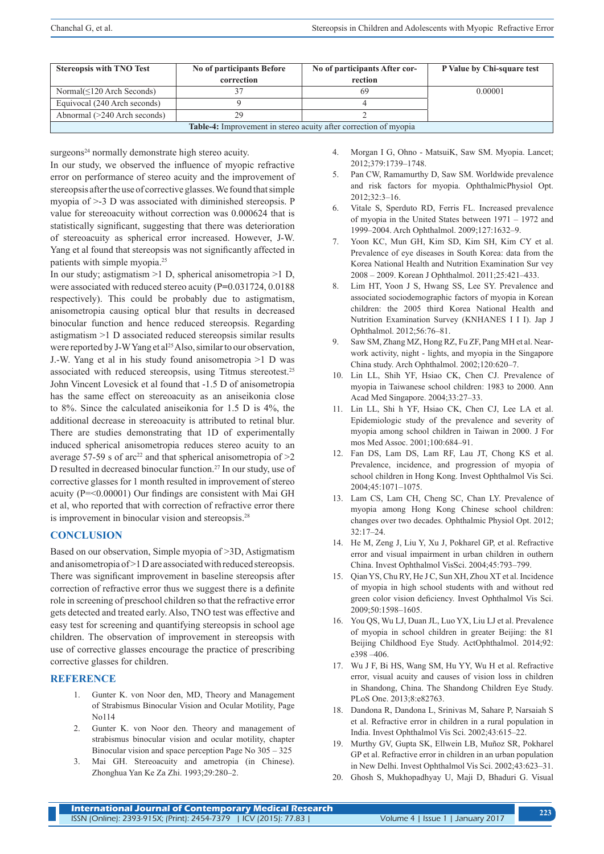| <b>Stereopsis with TNO Test</b>                                         | No of participants Before<br>correction | No of participants After cor-<br>rection | P Value by Chi-square test |  |
|-------------------------------------------------------------------------|-----------------------------------------|------------------------------------------|----------------------------|--|
| Normal $(\leq 120$ Arch Seconds)                                        |                                         |                                          | 0.00001                    |  |
| Equivocal (240 Arch seconds)                                            |                                         |                                          |                            |  |
| Abnormal (>240 Arch seconds)                                            | 29                                      |                                          |                            |  |
| <b>Table-4:</b> Improvement in stereo acuity after correction of myopia |                                         |                                          |                            |  |

surgeons<sup>24</sup> normally demonstrate high stereo acuity.

In our study, we observed the influence of myopic refractive error on performance of stereo acuity and the improvement of stereopsis after the use of corrective glasses. We found that simple myopia of >-3 D was associated with diminished stereopsis. P value for stereoacuity without correction was 0.000624 that is statistically significant, suggesting that there was deterioration of stereoacuity as spherical error increased. However, J-W. Yang et al found that stereopsis was not significantly affected in patients with simple myopia.25

In our study; astigmatism >1 D, spherical anisometropia >1 D, were associated with reduced stereo acuity (P**=**0.031724, 0.0188 respectively). This could be probably due to astigmatism, anisometropia causing optical blur that results in decreased binocular function and hence reduced stereopsis. Regarding astigmatism >1 D associated reduced stereopsis similar results were reported by J-W Yang et al<sup>25</sup> Also, similar to our observation, J.-W. Yang et al in his study found anisometropia >1 D was associated with reduced stereopsis, using Titmus stereotest.25 John Vincent Lovesick et al found that -1.5 D of anisometropia has the same effect on stereoacuity as an aniseikonia close to 8%. Since the calculated aniseikonia for 1.5 D is 4%, the additional decrease in stereoacuity is attributed to retinal blur. There are studies demonstrating that 1D of experimentally induced spherical anisometropia reduces stereo acuity to an average 57-59 s of arc<sup>22</sup> and that spherical anisometropia of  $>2$ D resulted in decreased binocular function.27 In our study, use of corrective glasses for 1 month resulted in improvement of stereo acuity (P=<0.00001) Our findings are consistent with Mai GH et al, who reported that with correction of refractive error there is improvement in binocular vision and stereopsis.<sup>28</sup>

# **CONCLUSION**

Based on our observation, Simple myopia of >3D, Astigmatism and anisometropia of >1 D are associated with reduced stereopsis. There was significant improvement in baseline stereopsis after correction of refractive error thus we suggest there is a definite role in screening of preschool children so that the refractive error gets detected and treated early. Also, TNO test was effective and easy test for screening and quantifying stereopsis in school age children. The observation of improvement in stereopsis with use of corrective glasses encourage the practice of prescribing corrective glasses for children.

### **REFERENCE**

- 1. Gunter K. von Noor den, MD, Theory and Management of Strabismus Binocular Vision and Ocular Motility, Page No114
- 2. Gunter K. von Noor den. Theory and management of strabismus binocular vision and ocular motility, chapter Binocular vision and space perception Page No 305 – 325
- 3. Mai GH. Stereoacuity and ametropia (in Chinese). Zhonghua Yan Ke Za Zhi. 1993;29:280–2.
- 4. Morgan I G, Ohno MatsuiK, Saw SM. Myopia. Lancet; 2012;379:1739–1748.
- 5. Pan CW, Ramamurthy D, Saw SM. Worldwide prevalence and risk factors for myopia. OphthalmicPhysiol Opt. 2012;32:3–16.
- 6. Vitale S, Sperduto RD, Ferris FL. Increased prevalence of myopia in the United States between 1971 – 1972 and 1999–2004. Arch Ophthalmol. 2009;127:1632–9.
- 7. Yoon KC, Mun GH, Kim SD, Kim SH, Kim CY et al. Prevalence of eye diseases in South Korea: data from the Korea National Health and Nutrition Examination Sur vey 2008 – 2009. Korean J Ophthalmol. 2011;25:421–433.
- 8. Lim HT, Yoon J S, Hwang SS, Lee SY. Prevalence and associated sociodemographic factors of myopia in Korean children: the 2005 third Korea National Health and Nutrition Examination Survey (KNHANES I I I). Jap J Ophthalmol. 2012;56:76–81.
- 9. Saw SM, Zhang MZ, Hong RZ, Fu ZF, Pang MH et al. Nearwork activity, night - lights, and myopia in the Singapore China study. Arch Ophthalmol. 2002;120:620–7.
- 10. Lin LL, Shih YF, Hsiao CK, Chen CJ. Prevalence of myopia in Taiwanese school children: 1983 to 2000. Ann Acad Med Singapore. 2004;33:27–33.
- 11. Lin LL, Shi h YF, Hsiao CK, Chen CJ, Lee LA et al. Epidemiologic study of the prevalence and severity of myopia among school children in Taiwan in 2000. J For mos Med Assoc. 2001;100:684–91.
- 12. Fan DS, Lam DS, Lam RF, Lau JT, Chong KS et al. Prevalence, incidence, and progression of myopia of school children in Hong Kong. Invest Ophthalmol Vis Sci. 2004;45:1071–1075.
- 13. Lam CS, Lam CH, Cheng SC, Chan LY. Prevalence of myopia among Hong Kong Chinese school children: changes over two decades. Ophthalmic Physiol Opt. 2012; 32:17–24.
- 14. He M, Zeng J, Liu Y, Xu J, Pokharel GP, et al. Refractive error and visual impairment in urban children in outhern China. Invest Ophthalmol VisSci. 2004;45:793–799.
- 15. Qian YS, Chu RY, He J C, Sun XH, Zhou XT et al. Incidence of myopia in high school students with and without red green color vision deficiency. Invest Ophthalmol Vis Sci. 2009;50:1598–1605.
- 16. You QS, Wu LJ, Duan JL, Luo YX, Liu LJ et al. Prevalence of myopia in school children in greater Beijing: the 81 Beijing Childhood Eye Study. ActOphthalmol. 2014;92: e398 –406.
- 17. Wu J F, Bi HS, Wang SM, Hu YY, Wu H et al. Refractive error, visual acuity and causes of vision loss in children in Shandong, China. The Shandong Children Eye Study. PLoS One. 2013;8:e82763.
- 18. Dandona R, Dandona L, Srinivas M, Sahare P, Narsaiah S et al. Refractive error in children in a rural population in India. Invest Ophthalmol Vis Sci. 2002;43:615–22.
- 19. Murthy GV, Gupta SK, Ellwein LB, Muñoz SR, Pokharel GP et al. Refractive error in children in an urban population in New Delhi. Invest Ophthalmol Vis Sci. 2002;43:623–31.
- 20. Ghosh S, Mukhopadhyay U, Maji D, Bhaduri G. Visual